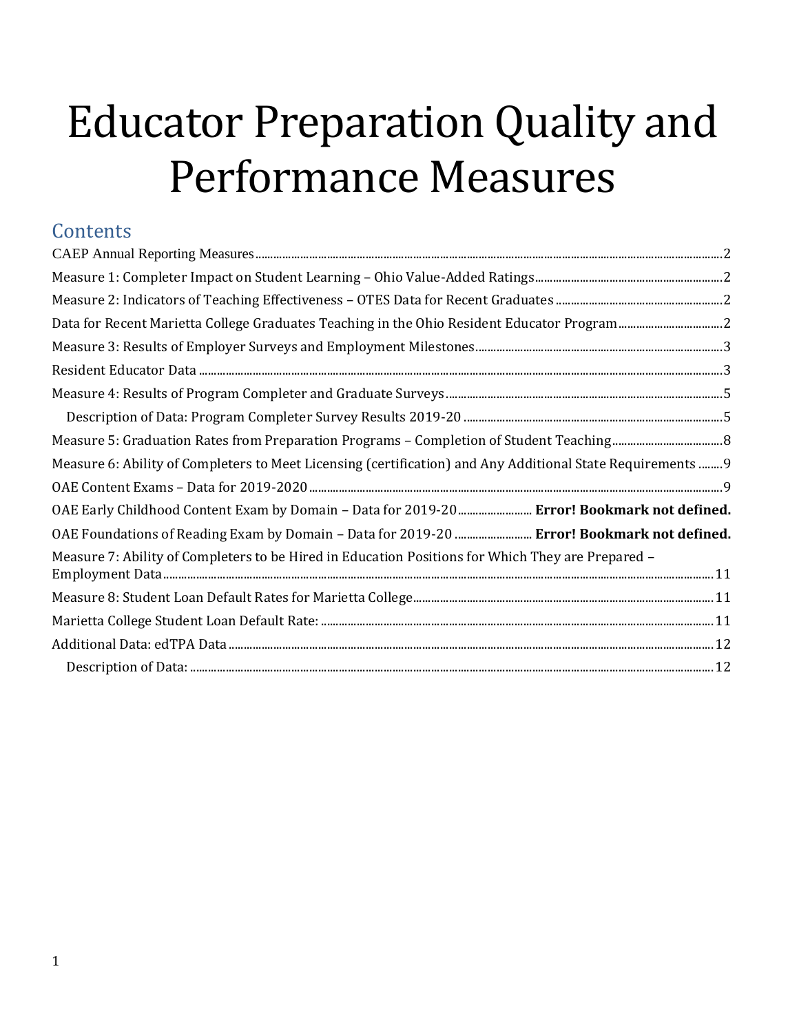# Educator Preparation Quality and Performance Measures

| Contents                                                                                                    |
|-------------------------------------------------------------------------------------------------------------|
|                                                                                                             |
|                                                                                                             |
|                                                                                                             |
| Data for Recent Marietta College Graduates Teaching in the Ohio Resident Educator Program2                  |
|                                                                                                             |
|                                                                                                             |
|                                                                                                             |
|                                                                                                             |
|                                                                                                             |
| Measure 6: Ability of Completers to Meet Licensing (certification) and Any Additional State Requirements  9 |
|                                                                                                             |
| OAE Early Childhood Content Exam by Domain - Data for 2019-20  Error! Bookmark not defined.                 |
| OAE Foundations of Reading Exam by Domain - Data for 2019-20  Error! Bookmark not defined.                  |
| Measure 7: Ability of Completers to be Hired in Education Positions for Which They are Prepared -           |
|                                                                                                             |
|                                                                                                             |
|                                                                                                             |
|                                                                                                             |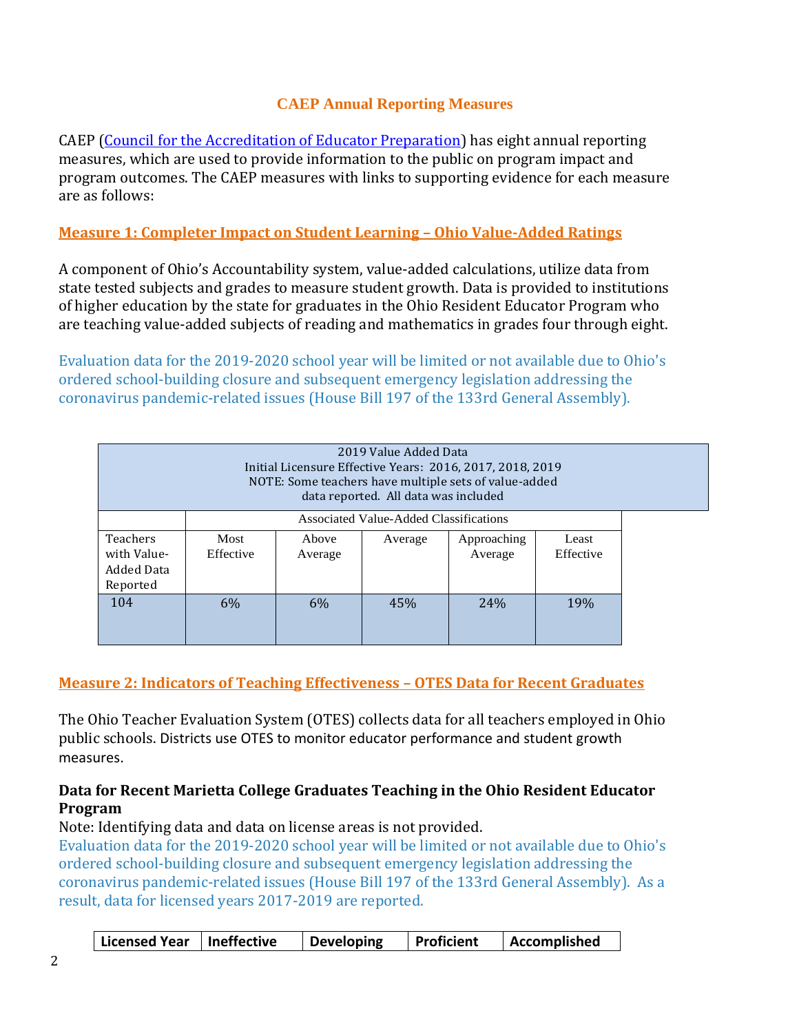## **CAEP Annual Reporting Measures**

<span id="page-1-0"></span>CAEP (Council for the Accreditation of Educator Preparation) has eight annual reporting measures, which are used to provide information to the public on program impact and program outcomes. The CAEP measures with links to supporting evidence for each measure are as follows:

## <span id="page-1-1"></span>**Measure 1: Completer Impact on Student Learning – Ohio Value-Added Ratings**

A component of Ohio's Accountability system, value-added calculations, utilize data from state tested subjects and grades to measure student growth. Data is provided to institutions of higher education by the state for graduates in the Ohio Resident Educator Program who are teaching value-added subjects of reading and mathematics in grades four through eight.

Evaluation data for the 2019-2020 school year will be limited or not available due to Ohio's ordered school-building closure and subsequent emergency legislation addressing the coronavirus pandemic-related issues (House Bill 197 of the 133rd General Assembly).

| 2019 Value Added Data<br>Initial Licensure Effective Years: 2016, 2017, 2018, 2019<br>NOTE: Some teachers have multiple sets of value-added<br>data reported. All data was included |                   |                                        |         |                        |                    |  |  |  |
|-------------------------------------------------------------------------------------------------------------------------------------------------------------------------------------|-------------------|----------------------------------------|---------|------------------------|--------------------|--|--|--|
|                                                                                                                                                                                     |                   | Associated Value-Added Classifications |         |                        |                    |  |  |  |
| <b>Teachers</b><br>with Value-<br><b>Added Data</b><br>Reported                                                                                                                     | Most<br>Effective | Above<br>Average                       | Average | Approaching<br>Average | Least<br>Effective |  |  |  |
| 104                                                                                                                                                                                 | 6%                | $6\%$                                  | 45%     | 24%                    | 19%                |  |  |  |

# <span id="page-1-2"></span>**Measure 2: Indicators of Teaching Effectiveness – OTES Data for Recent Graduates**

The Ohio Teacher Evaluation System (OTES) collects data for all teachers employed in Ohio public schools. Districts use OTES to monitor educator performance and student growth measures.

#### <span id="page-1-3"></span>**Data for Recent Marietta College Graduates Teaching in the Ohio Resident Educator Program**

Note: Identifying data and data on license areas is not provided.

Evaluation data for the 2019-2020 school year will be limited or not available due to Ohio's ordered school-building closure and subsequent emergency legislation addressing the coronavirus pandemic-related issues (House Bill 197 of the 133rd General Assembly). As a result, data for licensed years 2017-2019 are reported.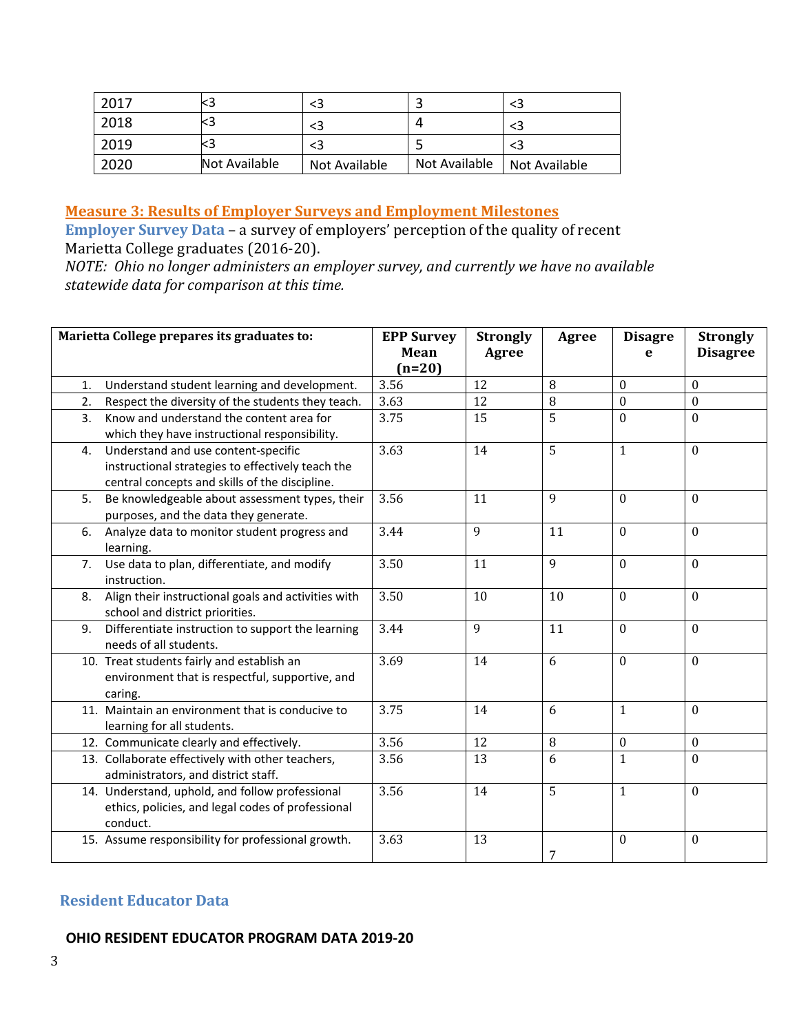| 2017 |               |               |               |               |
|------|---------------|---------------|---------------|---------------|
| 2018 |               |               |               |               |
| 2019 |               |               |               |               |
| 2020 | Not Available | Not Available | Not Available | Not Available |

## <span id="page-2-0"></span>**Measure 3: Results of Employer Surveys and Employment Milestones**

**Employer Survey Data** – a survey of employers' perception of the quality of recent Marietta College graduates (2016-20).

*NOTE: Ohio no longer administers an employer survey, and currently we have no available statewide data for comparison at this time.*

|    | Marietta College prepares its graduates to:                                                                                                | <b>EPP Survey</b><br>Mean<br>$(n=20)$ | <b>Strongly</b><br>Agree | Agree | <b>Disagre</b><br>e | <b>Strongly</b><br><b>Disagree</b> |
|----|--------------------------------------------------------------------------------------------------------------------------------------------|---------------------------------------|--------------------------|-------|---------------------|------------------------------------|
| 1. | Understand student learning and development.                                                                                               | 3.56                                  | 12                       | 8     | $\theta$            | $\Omega$                           |
| 2. | Respect the diversity of the students they teach.                                                                                          | 3.63                                  | 12                       | 8     | $\Omega$            | $\Omega$                           |
| 3. | Know and understand the content area for<br>which they have instructional responsibility.                                                  | 3.75                                  | 15                       | 5     | $\Omega$            | $\mathbf{0}$                       |
| 4. | Understand and use content-specific<br>instructional strategies to effectively teach the<br>central concepts and skills of the discipline. | 3.63                                  | 14                       | 5     | $\mathbf{1}$        | $\mathbf{0}$                       |
| 5. | Be knowledgeable about assessment types, their<br>purposes, and the data they generate.                                                    | 3.56                                  | 11                       | 9     | $\mathbf{0}$        | $\Omega$                           |
| 6. | Analyze data to monitor student progress and<br>learning.                                                                                  | 3.44                                  | 9                        | 11    | $\mathbf{0}$        | $\mathbf{0}$                       |
| 7. | Use data to plan, differentiate, and modify<br>instruction.                                                                                | 3.50                                  | 11                       | 9     | $\mathbf{0}$        | $\Omega$                           |
| 8. | Align their instructional goals and activities with<br>school and district priorities.                                                     | 3.50                                  | 10                       | 10    | $\mathbf{0}$        | $\Omega$                           |
| 9. | Differentiate instruction to support the learning<br>needs of all students.                                                                | 3.44                                  | 9                        | 11    | $\Omega$            | $\mathbf{0}$                       |
|    | 10. Treat students fairly and establish an<br>environment that is respectful, supportive, and<br>caring.                                   | 3.69                                  | 14                       | 6     | $\mathbf{0}$        | $\Omega$                           |
|    | 11. Maintain an environment that is conducive to<br>learning for all students.                                                             | 3.75                                  | 14                       | 6     | $\mathbf{1}$        | $\mathbf{0}$                       |
|    | 12. Communicate clearly and effectively.                                                                                                   | 3.56                                  | 12                       | 8     | $\boldsymbol{0}$    | $\mathbf{0}$                       |
|    | 13. Collaborate effectively with other teachers,<br>administrators, and district staff.                                                    | 3.56                                  | 13                       | 6     | 1                   | $\Omega$                           |
|    | 14. Understand, uphold, and follow professional<br>ethics, policies, and legal codes of professional<br>conduct.                           | 3.56                                  | 14                       | 5     | $\mathbf{1}$        | $\Omega$                           |
|    | 15. Assume responsibility for professional growth.                                                                                         | 3.63                                  | 13                       | 7     | $\bf{0}$            | $\mathbf{0}$                       |

#### <span id="page-2-1"></span>**Resident Educator Data**

#### **OHIO RESIDENT EDUCATOR PROGRAM DATA 2019-20**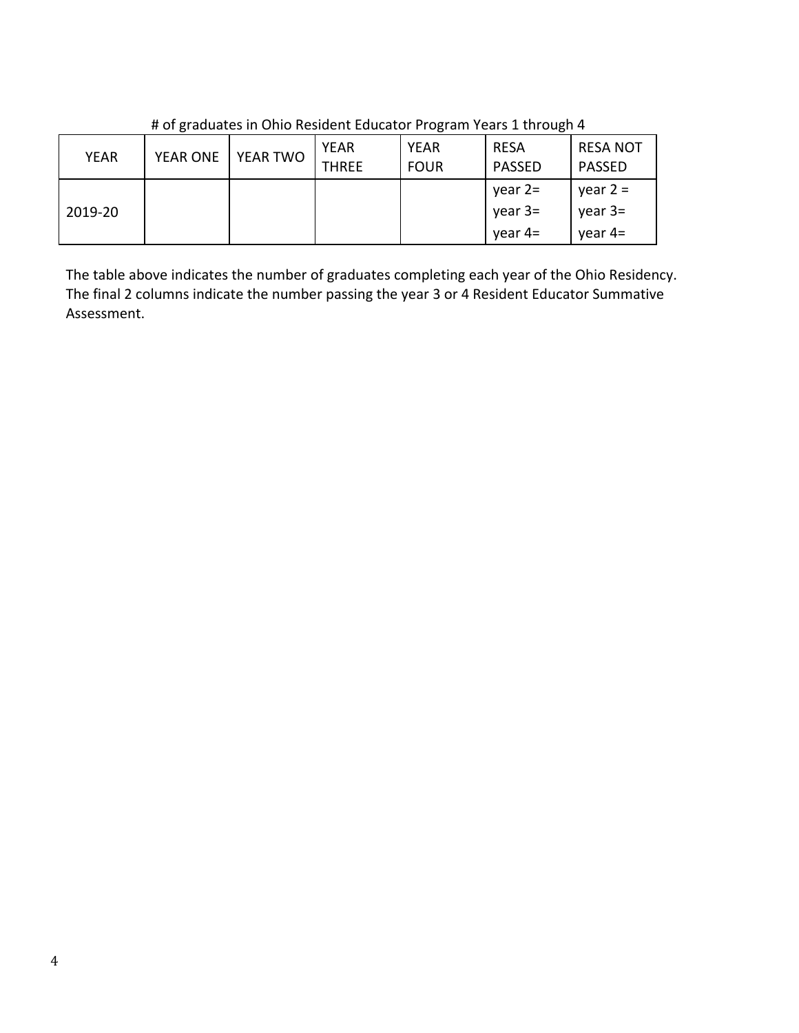| <b>YEAR</b> | <b>YEAR ONE</b> | YEAR TWO | <b>YEAR</b><br><b>THREE</b> | <b>YEAR</b><br><b>FOUR</b> | <b>RESA</b><br><b>PASSED</b>        | <b>RESA NOT</b><br>PASSED          |
|-------------|-----------------|----------|-----------------------------|----------------------------|-------------------------------------|------------------------------------|
| 2019-20     |                 |          |                             |                            | year $2=$<br>$year 3=$<br>year $4=$ | year $2 =$<br>year $3=$<br>year 4= |

# of graduates in Ohio Resident Educator Program Years 1 through 4

The table above indicates the number of graduates completing each year of the Ohio Residency. The final 2 columns indicate the number passing the year 3 or 4 Resident Educator Summative Assessment.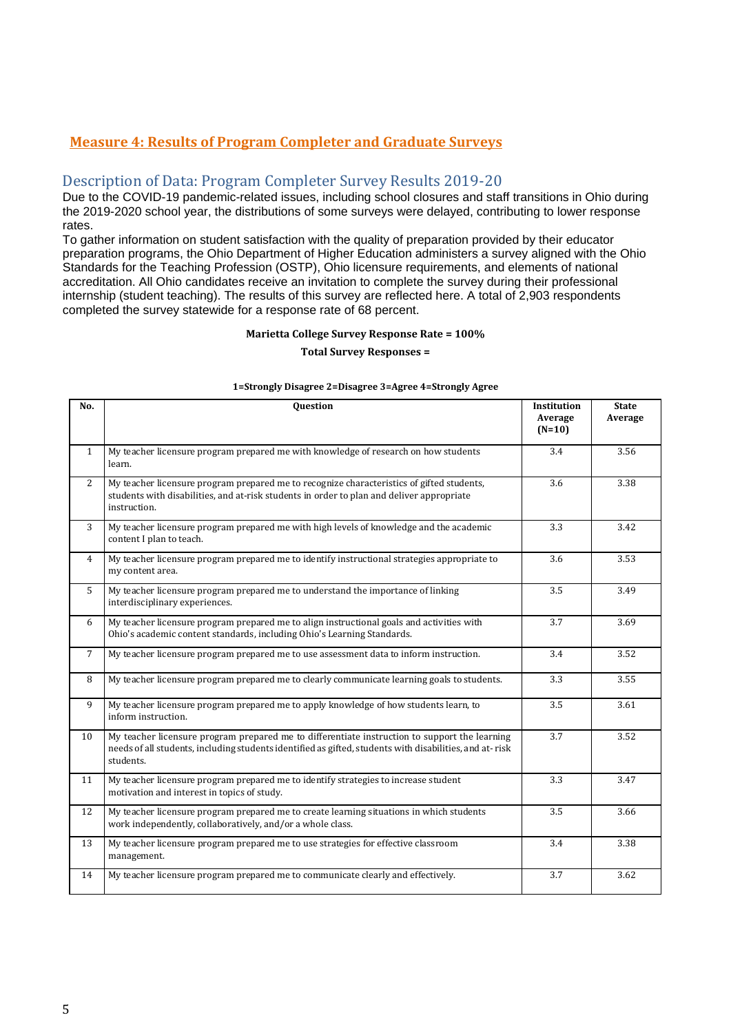#### <span id="page-4-1"></span><span id="page-4-0"></span>**Measure 4: Results of Program Completer and Graduate Surveys**

#### Description of Data: Program Completer Survey Results 2019-20

Due to the COVID-19 pandemic-related issues, including school closures and staff transitions in Ohio during the 2019-2020 school year, the distributions of some surveys were delayed, contributing to lower response rates.

To gather information on student satisfaction with the quality of preparation provided by their educator preparation programs, the Ohio Department of Higher Education administers a survey aligned with the Ohio Standards for the Teaching Profession (OSTP), Ohio licensure requirements, and elements of national accreditation. All Ohio candidates receive an invitation to complete the survey during their professional internship (student teaching). The results of this survey are reflected here. A total of 2,903 respondents completed the survey statewide for a response rate of 68 percent.

#### **Marietta College Survey Response Rate = 100%**

#### **Total Survey Responses =**

#### **No. Question Institution Average (N=10) State Average** 1 My teacher licensure program prepared me with knowledge of research on how students learn. 3.4 3.56 2 My teacher licensure program prepared me to recognize characteristics of gifted students, students with disabilities, and at-risk students in order to plan and deliver appropriate instruction. 3.6 3.38 3 My teacher licensure program prepared me with high levels of knowledge and the academic content I plan to teach. 3.3 3.42 4 My teacher licensure program prepared me to identify instructional strategies appropriate to my content area. 3.6 3.53 5 My teacher licensure program prepared me to understand the importance of linking interdisciplinary experiences. 3.5 3.49 6 My teacher licensure program prepared me to align instructional goals and activities with Ohio's academic content standards, including Ohio's Learning Standards. 3.7 3.69 7 My teacher licensure program prepared me to use assessment data to inform instruction. 3.4 3.52 8 My teacher licensure program prepared me to clearly communicate learning goals to students. 3.3 3.55 9 My teacher licensure program prepared me to apply knowledge of how students learn, to inform instruction. 3.5 3.61 10 My teacher licensure program prepared me to differentiate instruction to support the learning needs of all students, including students identified as gifted, students with disabilities, and at- risk students. 3.7 3.52 11 My teacher licensure program prepared me to identify strategies to increase student motivation and interest in topics of study. 3.3 3.47 12 My teacher licensure program prepared me to create learning situations in which students work independently, collaboratively, and/or a whole class. 3.5 3.66 13 My teacher licensure program prepared me to use strategies for effective classroom management. 3.4 3.38 14 My teacher licensure program prepared me to communicate clearly and effectively. 3.7 3.62

#### **1=Strongly Disagree 2=Disagree 3=Agree 4=Strongly Agree**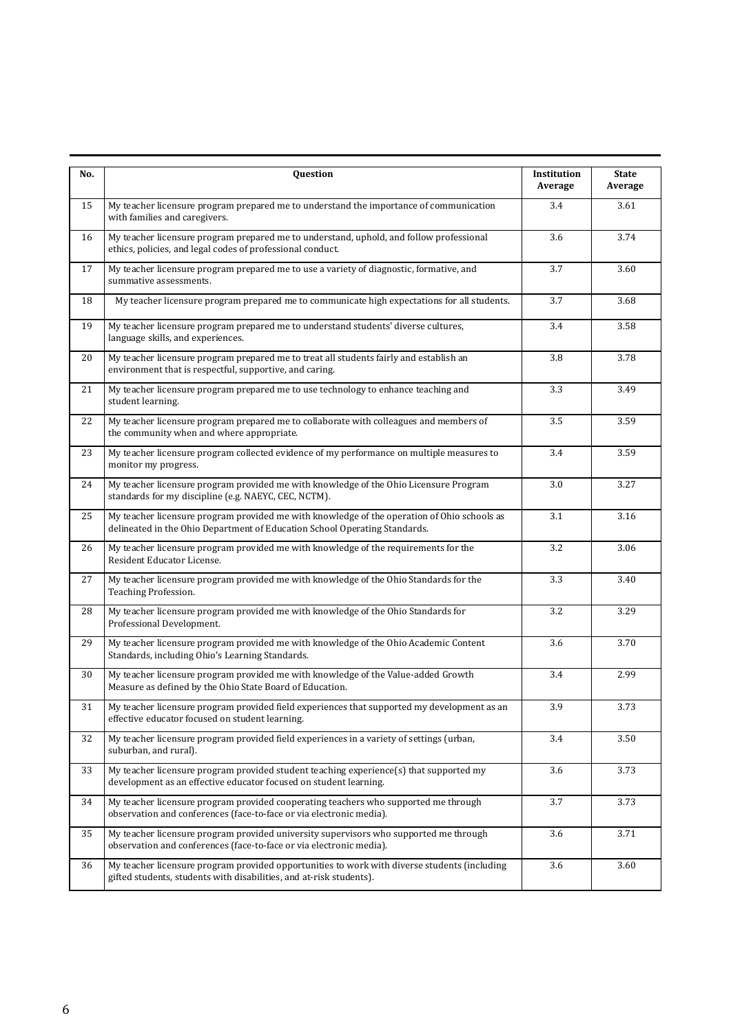| No. | Question                                                                                                                                                                  | Institution<br>Average | <b>State</b><br>Average |
|-----|---------------------------------------------------------------------------------------------------------------------------------------------------------------------------|------------------------|-------------------------|
| 15  | My teacher licensure program prepared me to understand the importance of communication<br>with families and caregivers.                                                   | 3.4                    | 3.61                    |
| 16  | My teacher licensure program prepared me to understand, uphold, and follow professional<br>ethics, policies, and legal codes of professional conduct.                     | 3.6                    | 3.74                    |
| 17  | My teacher licensure program prepared me to use a variety of diagnostic, formative, and<br>summative assessments.                                                         | 3.7                    | 3.60                    |
| 18  | My teacher licensure program prepared me to communicate high expectations for all students.                                                                               | 3.7                    | 3.68                    |
| 19  | My teacher licensure program prepared me to understand students' diverse cultures,<br>language skills, and experiences.                                                   | 3.4                    | 3.58                    |
| 20  | My teacher licensure program prepared me to treat all students fairly and establish an<br>environment that is respectful, supportive, and caring.                         | 3.8                    | 3.78                    |
| 21  | My teacher licensure program prepared me to use technology to enhance teaching and<br>student learning.                                                                   | 3.3                    | 3.49                    |
| 22  | My teacher licensure program prepared me to collaborate with colleagues and members of<br>the community when and where appropriate.                                       | 3.5                    | 3.59                    |
| 23  | My teacher licensure program collected evidence of my performance on multiple measures to<br>monitor my progress.                                                         | 3.4                    | 3.59                    |
| 24  | My teacher licensure program provided me with knowledge of the Ohio Licensure Program<br>standards for my discipline (e.g. NAEYC, CEC, NCTM).                             | 3.0                    | 3.27                    |
| 25  | My teacher licensure program provided me with knowledge of the operation of Ohio schools as<br>delineated in the Ohio Department of Education School Operating Standards. | 3.1                    | 3.16                    |
| 26  | My teacher licensure program provided me with knowledge of the requirements for the<br>Resident Educator License.                                                         | 3.2                    | 3.06                    |
| 27  | My teacher licensure program provided me with knowledge of the Ohio Standards for the<br>Teaching Profession.                                                             | 3.3                    | 3.40                    |
| 28  | My teacher licensure program provided me with knowledge of the Ohio Standards for<br>Professional Development.                                                            | 3.2                    | 3.29                    |
| 29  | My teacher licensure program provided me with knowledge of the Ohio Academic Content<br>Standards, including Ohio's Learning Standards.                                   | 3.6                    | 3.70                    |
| 30  | My teacher licensure program provided me with knowledge of the Value-added Growth<br>Measure as defined by the Ohio State Board of Education.                             | 3.4                    | 2.99                    |
| 31  | My teacher licensure program provided field experiences that supported my development as an<br>effective educator focused on student learning.                            | 3.9                    | 3.73                    |
| 32  | My teacher licensure program provided field experiences in a variety of settings (urban,<br>suburban, and rural).                                                         | 3.4                    | 3.50                    |
| 33  | My teacher licensure program provided student teaching experience(s) that supported my<br>development as an effective educator focused on student learning.               | 3.6                    | 3.73                    |
| 34  | My teacher licensure program provided cooperating teachers who supported me through<br>observation and conferences (face-to-face or via electronic media).                | 3.7                    | 3.73                    |
| 35  | My teacher licensure program provided university supervisors who supported me through<br>observation and conferences (face-to-face or via electronic media).              | 3.6                    | 3.71                    |
| 36  | My teacher licensure program provided opportunities to work with diverse students (including<br>gifted students, students with disabilities, and at-risk students).       | 3.6                    | 3.60                    |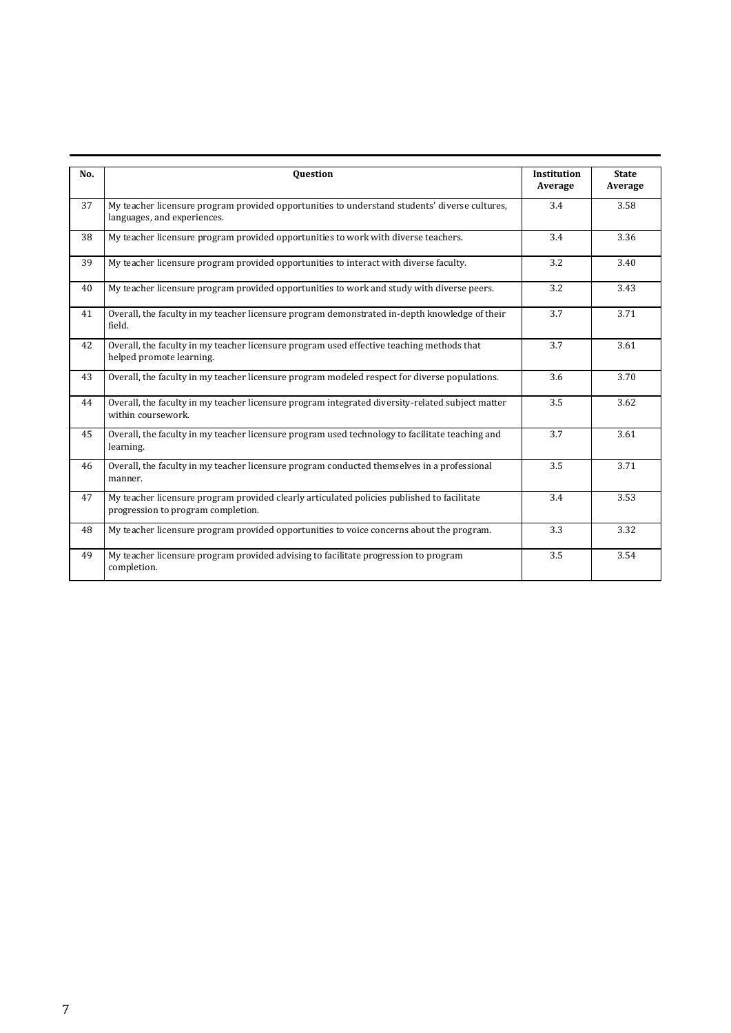| No. | <b>Question</b>                                                                                                                  | <b>Institution</b><br>Average | <b>State</b><br>Average |
|-----|----------------------------------------------------------------------------------------------------------------------------------|-------------------------------|-------------------------|
| 37  | My teacher licensure program provided opportunities to understand students' diverse cultures,<br>languages, and experiences.     | 3.4                           | 3.58                    |
| 38  | My teacher licensure program provided opportunities to work with diverse teachers.                                               | 3.4                           | 3.36                    |
| 39  | My teacher licensure program provided opportunities to interact with diverse faculty.                                            | 3.2                           | 3.40                    |
| 40  | My teacher licensure program provided opportunities to work and study with diverse peers.                                        | 3.2                           | 3.43                    |
| 41  | Overall, the faculty in my teacher licensure program demonstrated in-depth knowledge of their<br>field.                          | 3.7                           | 3.71                    |
| 42  | Overall, the faculty in my teacher licensure program used effective teaching methods that<br>helped promote learning.            | 3.7                           | 3.61                    |
| 43  | Overall, the faculty in my teacher licensure program modeled respect for diverse populations.                                    | 3.6                           | 3.70                    |
| 44  | Overall, the faculty in my teacher licensure program integrated diversity-related subject matter<br>within coursework.           | 3.5                           | 3.62                    |
| 45  | Overall, the faculty in my teacher licensure program used technology to facilitate teaching and<br>learning.                     | 3.7                           | 3.61                    |
| 46  | Overall, the faculty in my teacher licensure program conducted themselves in a professional<br>manner.                           | 3.5                           | 3.71                    |
| 47  | My teacher licensure program provided clearly articulated policies published to facilitate<br>progression to program completion. | 3.4                           | 3.53                    |
| 48  | My teacher licensure program provided opportunities to voice concerns about the program.                                         | 3.3                           | 3.32                    |
| 49  | My teacher licensure program provided advising to facilitate progression to program<br>completion.                               | 3.5                           | 3.54                    |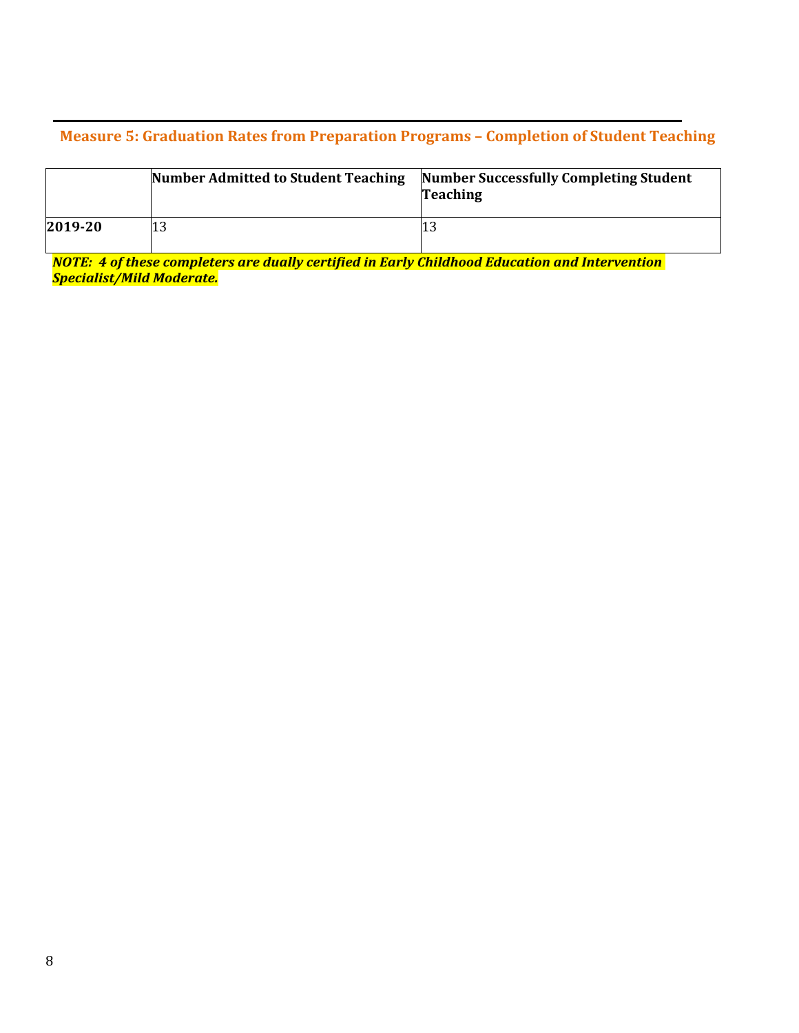#### <span id="page-7-0"></span>**Measure 5: Graduation Rates from Preparation Programs – Completion of Student Teaching**

|         | Number Admitted to Student Teaching | Number Successfully Completing Student<br><b>Teaching</b> |
|---------|-------------------------------------|-----------------------------------------------------------|
| 2019-20 |                                     |                                                           |

*NOTE: 4 of these completers are dually certified in Early Childhood Education and Intervention Specialist/Mild Moderate.*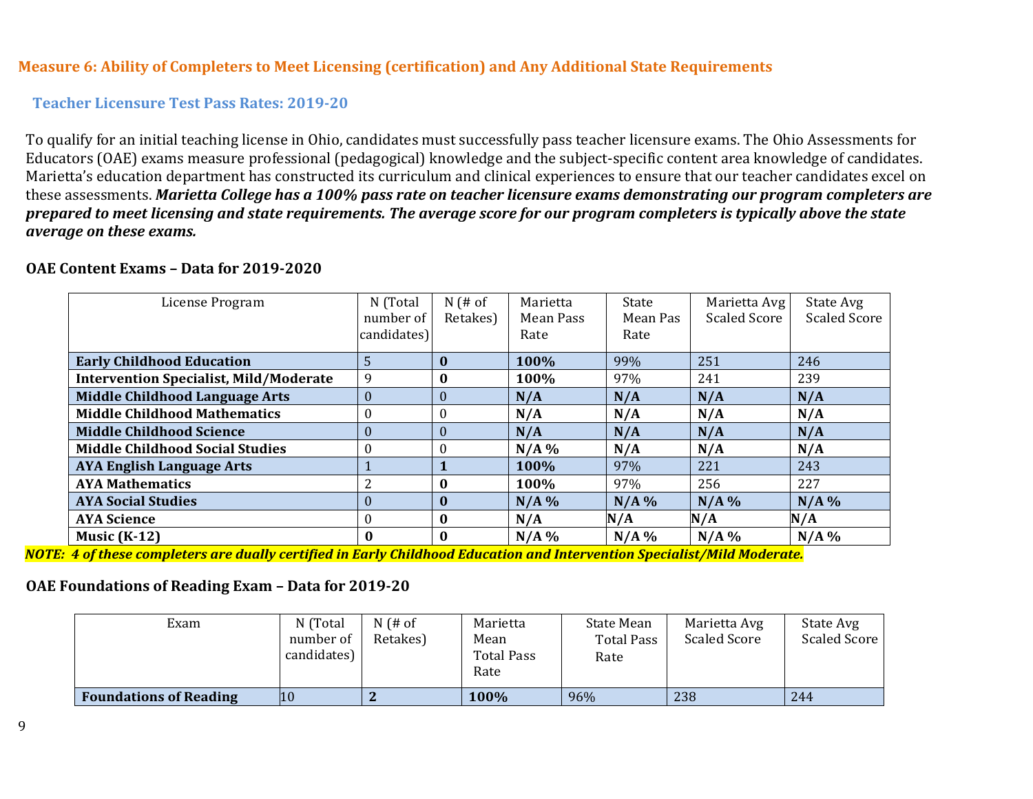#### **Measure 6: Ability of Completers to Meet Licensing (certification) and Any Additional State Requirements**

#### **Teacher Licensure Test Pass Rates: 2019-20**

To qualify for an initial teaching license in Ohio, candidates must successfully pass teacher licensure exams. The Ohio Assessments for Educators (OAE) exams measure professional (pedagogical) knowledge and the subject-specific content area knowledge of candidates. Marietta's education department has constructed its curriculum and clinical experiences to ensure that our teacher candidates excel on these assessments. *Marietta College has a 100% pass rate on teacher licensure exams demonstrating our program completers are prepared to meet licensing and state requirements. The average score for our program completers is typically above the state average on these exams.*

| License Program                               | N (Total                 | $N$ (# of    | Marietta<br>Mean Pass | State            | Marietta Avg<br><b>Scaled Score</b> | State Avg<br><b>Scaled Score</b> |
|-----------------------------------------------|--------------------------|--------------|-----------------------|------------------|-------------------------------------|----------------------------------|
|                                               | number of<br>candidates) | Retakes)     | Rate                  | Mean Pas<br>Rate |                                     |                                  |
| <b>Early Childhood Education</b>              | 5                        | $\mathbf{0}$ | 100%                  | 99%              | 251                                 | 246                              |
| <b>Intervention Specialist, Mild/Moderate</b> | 9                        | $\mathbf 0$  | 100%                  | 97%              | 241                                 | 239                              |
| <b>Middle Childhood Language Arts</b>         | $\boldsymbol{0}$         | $\theta$     | N/A                   | N/A              | N/A                                 | N/A                              |
| <b>Middle Childhood Mathematics</b>           | $\boldsymbol{0}$         | $\theta$     | N/A                   | N/A              | N/A                                 | N/A                              |
| <b>Middle Childhood Science</b>               | $\boldsymbol{0}$         | $\theta$     | N/A                   | N/A              | N/A                                 | N/A                              |
| <b>Middle Childhood Social Studies</b>        | $\theta$                 | $\Omega$     | $N/A$ %               | N/A              | N/A                                 | N/A                              |
| <b>AYA English Language Arts</b>              |                          |              | 100%                  | 97%              | 221                                 | 243                              |
| <b>AYA Mathematics</b>                        | 2                        | $\mathbf{0}$ | 100%                  | 97%              | 256                                 | 227                              |
| <b>AYA Social Studies</b>                     | $\theta$                 | $\mathbf{0}$ | N/A%                  | $N/A$ %          | N/A%                                | N/A%                             |
| <b>AYA Science</b>                            | $\theta$                 | $\mathbf{0}$ | N/A                   | N/A              | N/A                                 | N/A                              |
| Music $(K-12)$                                | $\bf{0}$                 | $\mathbf{0}$ | N/A%                  | $N/A$ %          | $N/A$ %                             | N/A%                             |

#### <span id="page-8-0"></span>**OAE Content Exams – Data for 2019-2020**

<span id="page-8-1"></span>*NOTE: 4 of these completers are dually certified in Early Childhood Education and Intervention Specialist/Mild Moderate.*

## **OAE Foundations of Reading Exam – Data for 2019-20**

| Exam                          | N (Total<br>number of<br>candidates) | $N$ (# of<br>Retakes) | Marietta<br>Mean<br>Total Pass<br>Rate | State Mean<br>Total Pass<br>Rate | Marietta Avg<br>Scaled Score | State Avg<br>Scaled Score |
|-------------------------------|--------------------------------------|-----------------------|----------------------------------------|----------------------------------|------------------------------|---------------------------|
| <b>Foundations of Reading</b> | 10                                   |                       | 100%                                   | 96%                              | 238                          | 244                       |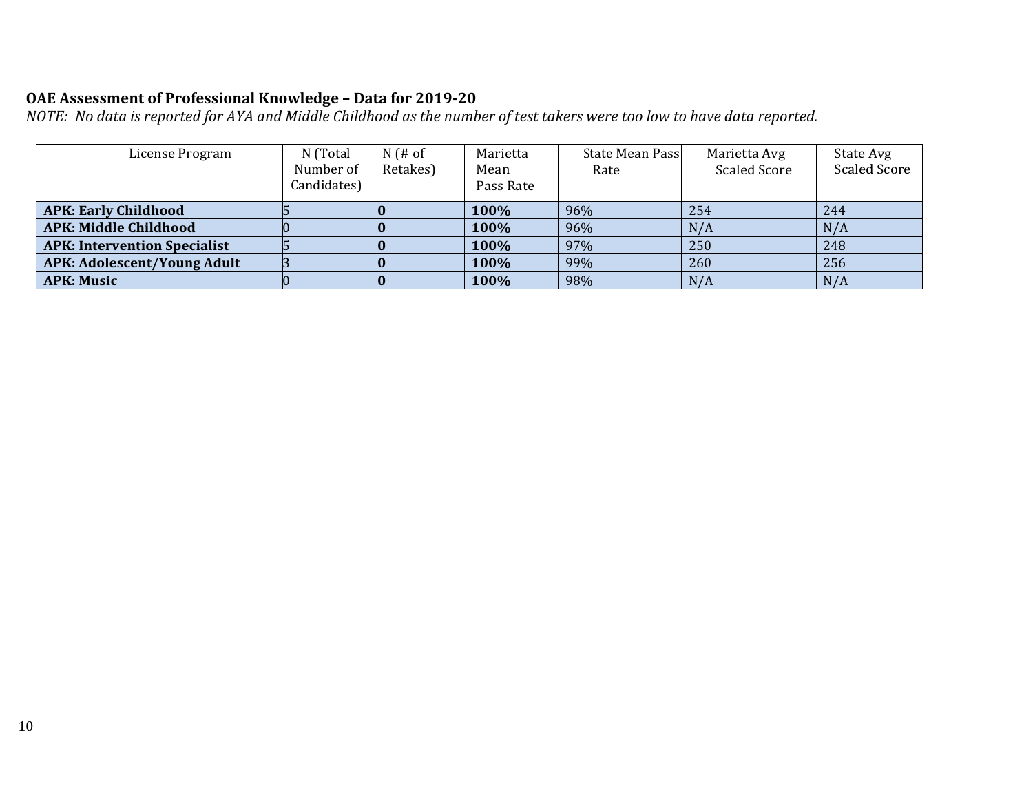# **OAE Assessment of Professional Knowledge – Data for 2019-20**

*NOTE: No data is reported for AYA and Middle Childhood as the number of test takers were too low to have data reported.*

| License Program                     | N (Total<br>Number of<br>Candidates) | $N$ (# of<br>Retakes) | Marietta<br>Mean<br>Pass Rate | State Mean Pass<br>Rate | Marietta Avg<br><b>Scaled Score</b> | State Avg<br><b>Scaled Score</b> |
|-------------------------------------|--------------------------------------|-----------------------|-------------------------------|-------------------------|-------------------------------------|----------------------------------|
| <b>APK: Early Childhood</b>         |                                      |                       | 100%                          | 96%                     | 254                                 | 244                              |
| <b>APK: Middle Childhood</b>        |                                      |                       | 100%                          | 96%                     | N/A                                 | N/A                              |
| <b>APK: Intervention Specialist</b> |                                      |                       | 100%                          | 97%                     | 250                                 | 248                              |
| APK: Adolescent/Young Adult         |                                      |                       | 100%                          | 99%                     | 260                                 | 256                              |
| <b>APK: Music</b>                   |                                      |                       | 100%                          | 98%                     | N/A                                 | N/A                              |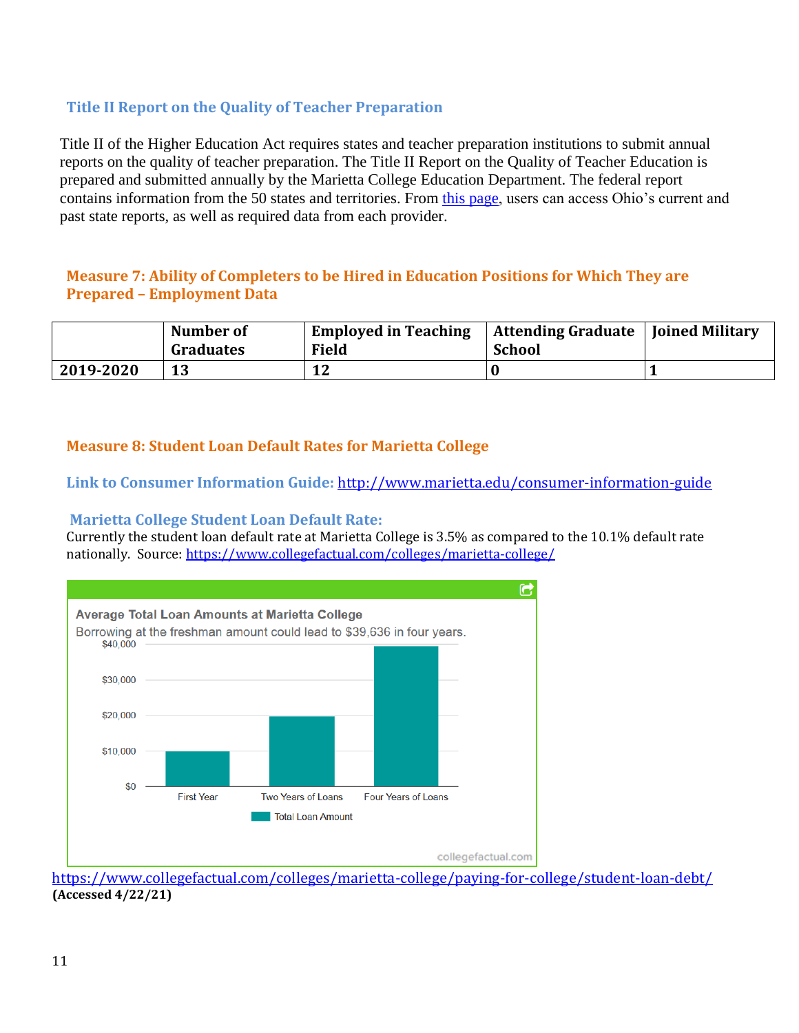# **Title II Report on the Quality of Teacher Preparation**

Title II of the Higher Education Act requires states and teacher preparation institutions to submit annual reports on the quality of teacher preparation. The Title II Report on the Quality of Teacher Education is prepared and submitted annually by the Marietta College Education Department. The federal report contains information from the 50 states and territories. From [this page,](https://title2.ed.gov/Public/Home.aspx) users can access Ohio's current and past state reports, as well as required data from each provider.

# <span id="page-10-0"></span>**Measure 7: Ability of Completers to be Hired in Education Positions for Which They are Prepared – Employment Data**

|           | Number of<br><b>Graduates</b> | <b>Employed in Teaching</b><br>Field | Attending Graduate   Joined Military<br><b>School</b> |  |
|-----------|-------------------------------|--------------------------------------|-------------------------------------------------------|--|
| 2019-2020 | 13                            | 12                                   |                                                       |  |

#### <span id="page-10-1"></span>**Measure 8: Student Loan Default Rates for Marietta College**

**Link to Consumer Information Guide:** <http://www.marietta.edu/consumer-information-guide>

#### <span id="page-10-2"></span>**Marietta College Student Loan Default Rate:**

Currently the student loan default rate at Marietta College is 3.5% as compared to the 10.1% default rate nationally. Source[: https://www.collegefactual.com/colleges/marietta-college/](https://www.collegefactual.com/colleges/marietta-college/)



<https://www.collegefactual.com/colleges/marietta-college/paying-for-college/student-loan-debt/> **(Accessed 4/22/21)**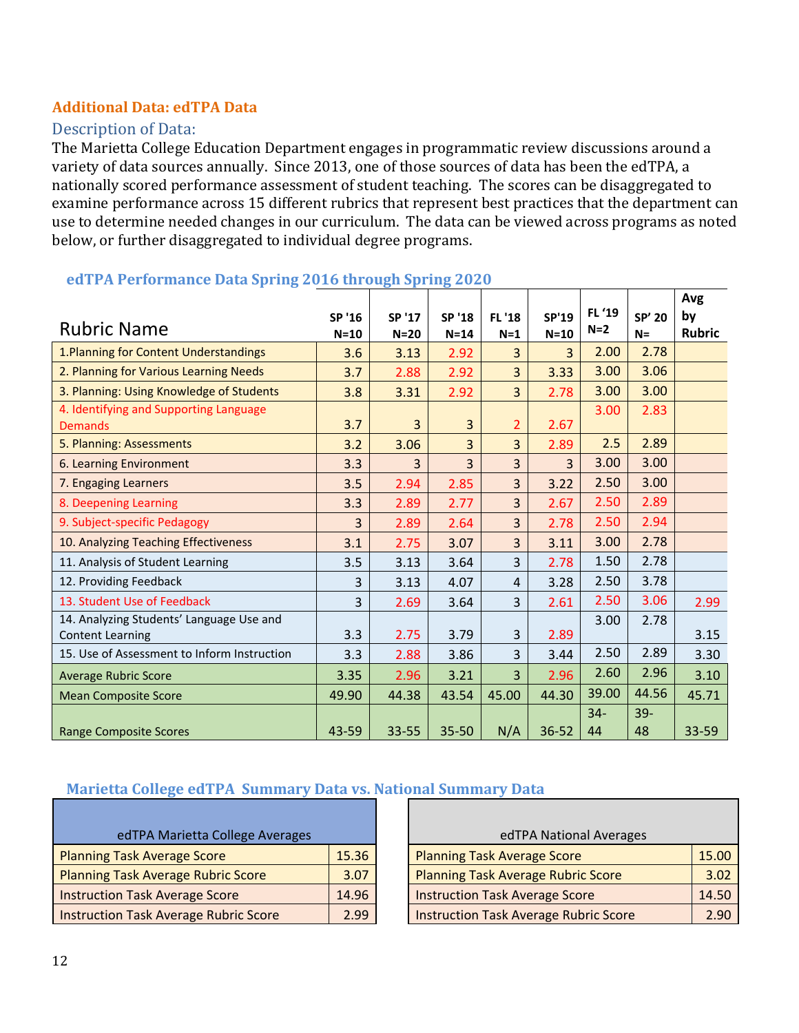# <span id="page-11-0"></span>**Additional Data: edTPA Data**

## <span id="page-11-1"></span>Description of Data:

The Marietta College Education Department engages in programmatic review discussions around a variety of data sources annually. Since 2013, one of those sources of data has been the edTPA, a nationally scored performance assessment of student teaching. The scores can be disaggregated to examine performance across 15 different rubrics that represent best practices that the department can use to determine needed changes in our curriculum. The data can be viewed across programs as noted below, or further disaggregated to individual degree programs.

|                                                                     |                  |                  |                  |                        |                        | FL '19      |                 | Avg                 |
|---------------------------------------------------------------------|------------------|------------------|------------------|------------------------|------------------------|-------------|-----------------|---------------------|
| <b>Rubric Name</b>                                                  | SP '16<br>$N=10$ | SP '17<br>$N=20$ | SP '18<br>$N=14$ | <b>FL '18</b><br>$N=1$ | <b>SP'19</b><br>$N=10$ | $N=2$       | SP' 20<br>$N =$ | by<br><b>Rubric</b> |
| 1. Planning for Content Understandings                              | 3.6              | 3.13             | 2.92             | 3                      | $\overline{3}$         | 2.00        | 2.78            |                     |
| 2. Planning for Various Learning Needs                              | 3.7              | 2.88             | 2.92             | 3                      | 3.33                   | 3.00        | 3.06            |                     |
| 3. Planning: Using Knowledge of Students                            | 3.8              | 3.31             | 2.92             | 3                      | 2.78                   | 3.00        | 3.00            |                     |
| 4. Identifying and Supporting Language<br><b>Demands</b>            | 3.7              | 3                | 3                | 2                      | 2.67                   | 3.00        | 2.83            |                     |
| 5. Planning: Assessments                                            | 3.2              | 3.06             | 3                | 3                      | 2.89                   | 2.5         | 2.89            |                     |
| 6. Learning Environment                                             | 3.3              | 3                | 3                | 3                      | $\overline{3}$         | 3.00        | 3.00            |                     |
| 7. Engaging Learners                                                | 3.5              | 2.94             | 2.85             | 3                      | 3.22                   | 2.50        | 3.00            |                     |
| 8. Deepening Learning                                               | 3.3              | 2.89             | 2.77             | 3                      | 2.67                   | 2.50        | 2.89            |                     |
| 9. Subject-specific Pedagogy                                        | 3                | 2.89             | 2.64             | 3                      | 2.78                   | 2.50        | 2.94            |                     |
| 10. Analyzing Teaching Effectiveness                                | 3.1              | 2.75             | 3.07             | 3                      | 3.11                   | 3.00        | 2.78            |                     |
| 11. Analysis of Student Learning                                    | 3.5              | 3.13             | 3.64             | 3                      | 2.78                   | 1.50        | 2.78            |                     |
| 12. Providing Feedback                                              | 3                | 3.13             | 4.07             | 4                      | 3.28                   | 2.50        | 3.78            |                     |
| 13. Student Use of Feedback                                         | 3                | 2.69             | 3.64             | 3                      | 2.61                   | 2.50        | 3.06            | 2.99                |
| 14. Analyzing Students' Language Use and<br><b>Content Learning</b> | 3.3              | 2.75             | 3.79             | 3                      | 2.89                   | 3.00        | 2.78            | 3.15                |
| 15. Use of Assessment to Inform Instruction                         | 3.3              | 2.88             | 3.86             | 3                      | 3.44                   | 2.50        | 2.89            | 3.30                |
| <b>Average Rubric Score</b>                                         | 3.35             | 2.96             | 3.21             | 3                      | 2.96                   | 2.60        | 2.96            | 3.10                |
| <b>Mean Composite Score</b>                                         | 49.90            | 44.38            | 43.54            | 45.00                  | 44.30                  | 39.00       | 44.56           | 45.71               |
| <b>Range Composite Scores</b>                                       | 43-59            | 33-55            | 35-50            | N/A                    | 36-52                  | $34-$<br>44 | $39 -$<br>48    | 33-59               |

#### **edTPA Performance Data Spring 2016 through Spring 2020**

# **Marietta College edTPA Summary Data vs. National Summary Data**

| edTPA Marietta College Averages              |       |  | edTPA National Averages                      |
|----------------------------------------------|-------|--|----------------------------------------------|
| <b>Planning Task Average Score</b>           | 15.36 |  | <b>Planning Task Average Score</b>           |
| <b>Planning Task Average Rubric Score</b>    | 3.07  |  | <b>Planning Task Average Rubric Score</b>    |
| <b>Instruction Task Average Score</b>        | 14.96 |  | <b>Instruction Task Average Score</b>        |
| <b>Instruction Task Average Rubric Score</b> | 2.99  |  | <b>Instruction Task Average Rubric Score</b> |

| edTPA Marietta College Averages              |       |  | edTPA National Averages                      |       |  |
|----------------------------------------------|-------|--|----------------------------------------------|-------|--|
| <b>Planning Task Average Score</b>           | 15.36 |  | <b>Planning Task Average Score</b>           | 15.00 |  |
| <b>Planning Task Average Rubric Score</b>    | 3.07  |  | <b>Planning Task Average Rubric Score</b>    | 3.02  |  |
| <b>Instruction Task Average Score</b>        | 14.96 |  | <b>Instruction Task Average Score</b>        | 14.50 |  |
| <b>Instruction Task Average Rubric Score</b> | 2.99  |  | <b>Instruction Task Average Rubric Score</b> | 2.90  |  |